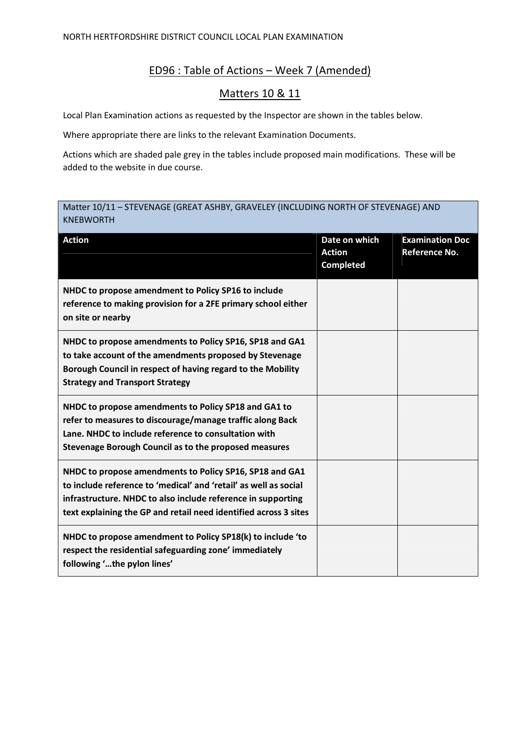## ED96 : Table of Actions – Week 7 (Amended)

## Matters 10 & 11

Local Plan Examination actions as requested by the Inspector are shown in the tables below.

Where appropriate there are links to the relevant Examination Documents.

Actions which are shaded pale grey in the tables include proposed main modifications. These will be added to the website in due course.

## Matter 10/11 – STEVENAGE (GREAT ASHBY, GRAVELEY (INCLUDING NORTH OF STEVENAGE) AND KNEBWORTH

| <b>Action</b>                                                                                                                                                                                                                                                   | Date on which<br><b>Action</b><br><b>Completed</b> | <b>Examination Doc</b><br><b>Reference No.</b> |
|-----------------------------------------------------------------------------------------------------------------------------------------------------------------------------------------------------------------------------------------------------------------|----------------------------------------------------|------------------------------------------------|
| NHDC to propose amendment to Policy SP16 to include<br>reference to making provision for a 2FE primary school either<br>on site or nearby                                                                                                                       |                                                    |                                                |
| NHDC to propose amendments to Policy SP16, SP18 and GA1<br>to take account of the amendments proposed by Stevenage<br>Borough Council in respect of having regard to the Mobility<br><b>Strategy and Transport Strategy</b>                                     |                                                    |                                                |
| NHDC to propose amendments to Policy SP18 and GA1 to<br>refer to measures to discourage/manage traffic along Back<br>Lane. NHDC to include reference to consultation with<br>Stevenage Borough Council as to the proposed measures                              |                                                    |                                                |
| NHDC to propose amendments to Policy SP16, SP18 and GA1<br>to include reference to 'medical' and 'retail' as well as social<br>infrastructure. NHDC to also include reference in supporting<br>text explaining the GP and retail need identified across 3 sites |                                                    |                                                |
| NHDC to propose amendment to Policy SP18(k) to include 'to<br>respect the residential safeguarding zone' immediately<br>following 'the pylon lines'                                                                                                             |                                                    |                                                |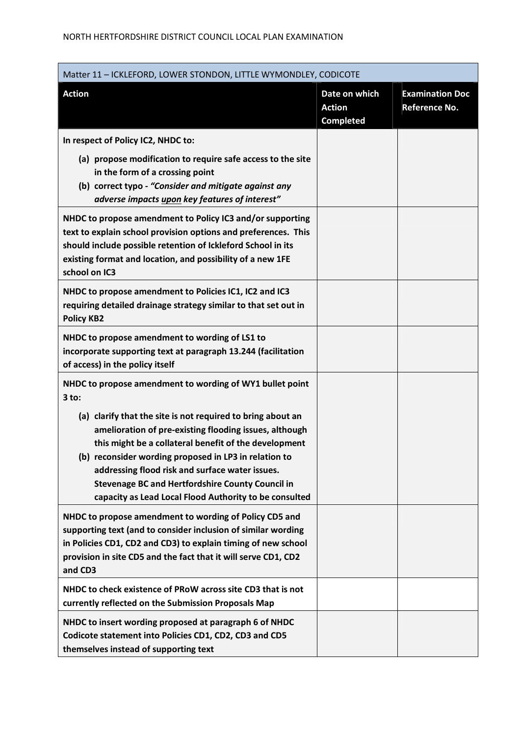| Matter 11 - ICKLEFORD, LOWER STONDON, LITTLE WYMONDLEY, CODICOTE                                                                                                                                                                                                                                                                                                                                                |                                                    |                                         |  |
|-----------------------------------------------------------------------------------------------------------------------------------------------------------------------------------------------------------------------------------------------------------------------------------------------------------------------------------------------------------------------------------------------------------------|----------------------------------------------------|-----------------------------------------|--|
| <b>Action</b>                                                                                                                                                                                                                                                                                                                                                                                                   | Date on which<br><b>Action</b><br><b>Completed</b> | <b>Examination Doc</b><br>Reference No. |  |
| In respect of Policy IC2, NHDC to:                                                                                                                                                                                                                                                                                                                                                                              |                                                    |                                         |  |
| (a) propose modification to require safe access to the site<br>in the form of a crossing point<br>(b) correct typo - "Consider and mitigate against any<br>adverse impacts upon key features of interest"                                                                                                                                                                                                       |                                                    |                                         |  |
| NHDC to propose amendment to Policy IC3 and/or supporting<br>text to explain school provision options and preferences. This<br>should include possible retention of Ickleford School in its<br>existing format and location, and possibility of a new 1FE<br>school on IC3                                                                                                                                      |                                                    |                                         |  |
| NHDC to propose amendment to Policies IC1, IC2 and IC3<br>requiring detailed drainage strategy similar to that set out in<br><b>Policy KB2</b>                                                                                                                                                                                                                                                                  |                                                    |                                         |  |
| NHDC to propose amendment to wording of LS1 to<br>incorporate supporting text at paragraph 13.244 (facilitation<br>of access) in the policy itself                                                                                                                                                                                                                                                              |                                                    |                                         |  |
| NHDC to propose amendment to wording of WY1 bullet point<br>$3$ to:                                                                                                                                                                                                                                                                                                                                             |                                                    |                                         |  |
| (a) clarify that the site is not required to bring about an<br>amelioration of pre-existing flooding issues, although<br>this might be a collateral benefit of the development<br>(b) reconsider wording proposed in LP3 in relation to<br>addressing flood risk and surface water issues.<br><b>Stevenage BC and Hertfordshire County Council in</b><br>capacity as Lead Local Flood Authority to be consulted |                                                    |                                         |  |
| NHDC to propose amendment to wording of Policy CD5 and<br>supporting text (and to consider inclusion of similar wording<br>in Policies CD1, CD2 and CD3) to explain timing of new school<br>provision in site CD5 and the fact that it will serve CD1, CD2<br>and CD3                                                                                                                                           |                                                    |                                         |  |
| NHDC to check existence of PRoW across site CD3 that is not<br>currently reflected on the Submission Proposals Map                                                                                                                                                                                                                                                                                              |                                                    |                                         |  |
| NHDC to insert wording proposed at paragraph 6 of NHDC<br>Codicote statement into Policies CD1, CD2, CD3 and CD5<br>themselves instead of supporting text                                                                                                                                                                                                                                                       |                                                    |                                         |  |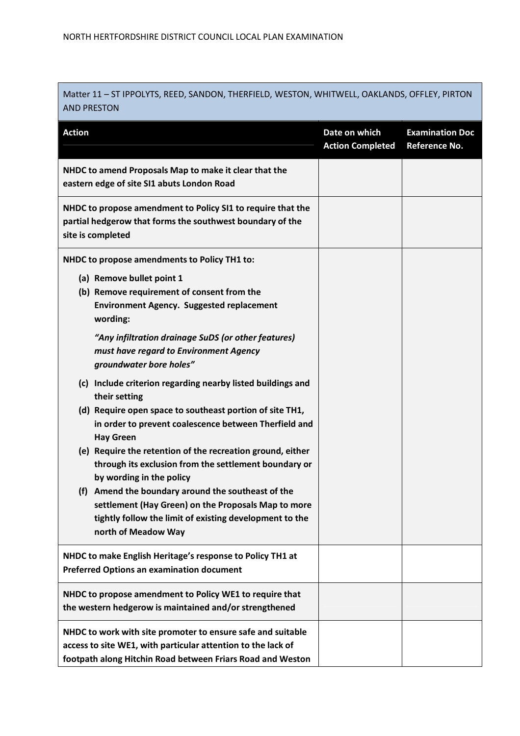Matter 11 – ST IPPOLYTS, REED, SANDON, THERFIELD, WESTON, WHITWELL, OAKLANDS, OFFLEY, PIRTON AND PRESTON

| <b>Action</b>                                                                                                                                                                                  | Date on which<br><b>Action Completed</b> | <b>Examination Doc</b><br><b>Reference No.</b> |
|------------------------------------------------------------------------------------------------------------------------------------------------------------------------------------------------|------------------------------------------|------------------------------------------------|
| NHDC to amend Proposals Map to make it clear that the<br>eastern edge of site SI1 abuts London Road                                                                                            |                                          |                                                |
| NHDC to propose amendment to Policy SI1 to require that the<br>partial hedgerow that forms the southwest boundary of the<br>site is completed                                                  |                                          |                                                |
| NHDC to propose amendments to Policy TH1 to:                                                                                                                                                   |                                          |                                                |
| (a) Remove bullet point 1<br>(b) Remove requirement of consent from the<br><b>Environment Agency. Suggested replacement</b><br>wording:                                                        |                                          |                                                |
| "Any infiltration drainage SuDS (or other features)<br>must have regard to Environment Agency<br>groundwater bore holes"                                                                       |                                          |                                                |
| (c) Include criterion regarding nearby listed buildings and<br>their setting                                                                                                                   |                                          |                                                |
| (d) Require open space to southeast portion of site TH1,<br>in order to prevent coalescence between Therfield and<br><b>Hay Green</b>                                                          |                                          |                                                |
| (e) Require the retention of the recreation ground, either<br>through its exclusion from the settlement boundary or<br>by wording in the policy                                                |                                          |                                                |
| Amend the boundary around the southeast of the<br>(f)<br>settlement (Hay Green) on the Proposals Map to more<br>tightly follow the limit of existing development to the<br>north of Meadow Way |                                          |                                                |
| NHDC to make English Heritage's response to Policy TH1 at<br><b>Preferred Options an examination document</b>                                                                                  |                                          |                                                |
| NHDC to propose amendment to Policy WE1 to require that<br>the western hedgerow is maintained and/or strengthened                                                                              |                                          |                                                |
| NHDC to work with site promoter to ensure safe and suitable<br>access to site WE1, with particular attention to the lack of<br>footpath along Hitchin Road between Friars Road and Weston      |                                          |                                                |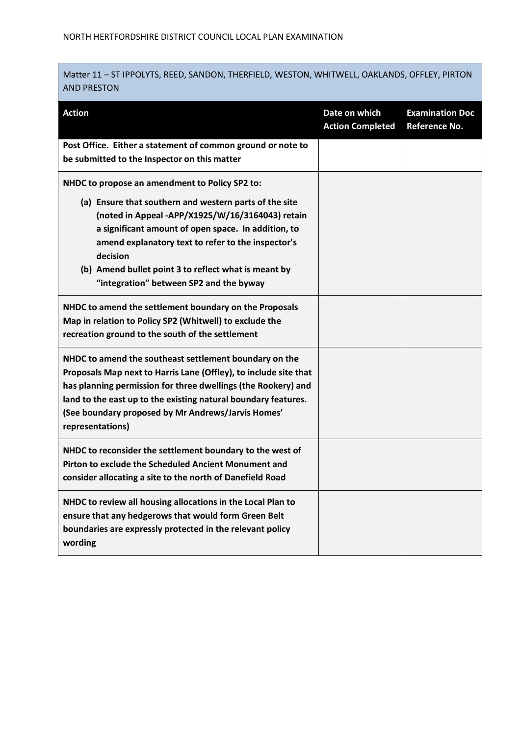Matter 11 – ST IPPOLYTS, REED, SANDON, THERFIELD, WESTON, WHITWELL, OAKLANDS, OFFLEY, PIRTON AND PRESTON

| <b>Action</b>                                                                                                                                                                                                                                                                                                                                                                            | Date on which<br><b>Action Completed</b> | <b>Examination Doc</b><br><b>Reference No.</b> |
|------------------------------------------------------------------------------------------------------------------------------------------------------------------------------------------------------------------------------------------------------------------------------------------------------------------------------------------------------------------------------------------|------------------------------------------|------------------------------------------------|
| Post Office. Either a statement of common ground or note to<br>be submitted to the Inspector on this matter                                                                                                                                                                                                                                                                              |                                          |                                                |
| NHDC to propose an amendment to Policy SP2 to:<br>(a) Ensure that southern and western parts of the site<br>(noted in Appeal -APP/X1925/W/16/3164043) retain<br>a significant amount of open space. In addition, to<br>amend explanatory text to refer to the inspector's<br>decision<br>(b) Amend bullet point 3 to reflect what is meant by<br>"integration" between SP2 and the byway |                                          |                                                |
| NHDC to amend the settlement boundary on the Proposals<br>Map in relation to Policy SP2 (Whitwell) to exclude the<br>recreation ground to the south of the settlement                                                                                                                                                                                                                    |                                          |                                                |
| NHDC to amend the southeast settlement boundary on the<br>Proposals Map next to Harris Lane (Offley), to include site that<br>has planning permission for three dwellings (the Rookery) and<br>land to the east up to the existing natural boundary features.<br>(See boundary proposed by Mr Andrews/Jarvis Homes'<br>representations)                                                  |                                          |                                                |
| NHDC to reconsider the settlement boundary to the west of<br>Pirton to exclude the Scheduled Ancient Monument and<br>consider allocating a site to the north of Danefield Road                                                                                                                                                                                                           |                                          |                                                |
| NHDC to review all housing allocations in the Local Plan to<br>ensure that any hedgerows that would form Green Belt<br>boundaries are expressly protected in the relevant policy<br>wording                                                                                                                                                                                              |                                          |                                                |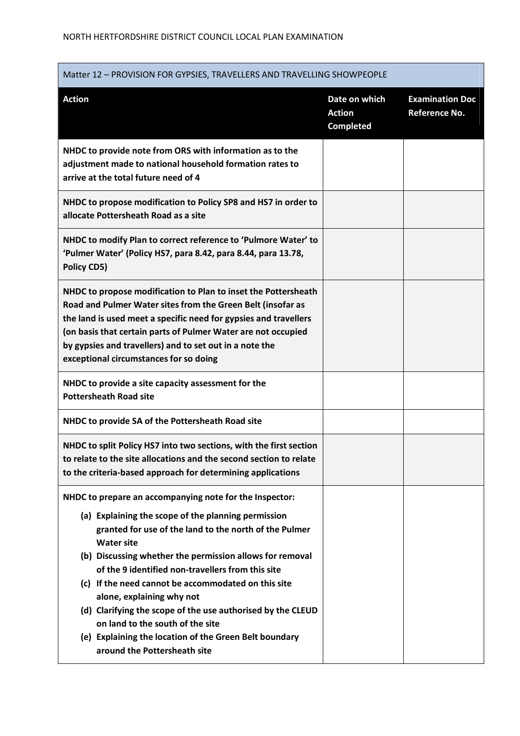| Matter 12 - PROVISION FOR GYPSIES, TRAVELLERS AND TRAVELLING SHOWPEOPLE                                                                                                                                                                                                                                                                                                                                                                                                                                                                                                                         |                                                    |                                         |  |
|-------------------------------------------------------------------------------------------------------------------------------------------------------------------------------------------------------------------------------------------------------------------------------------------------------------------------------------------------------------------------------------------------------------------------------------------------------------------------------------------------------------------------------------------------------------------------------------------------|----------------------------------------------------|-----------------------------------------|--|
| <b>Action</b>                                                                                                                                                                                                                                                                                                                                                                                                                                                                                                                                                                                   | Date on which<br><b>Action</b><br><b>Completed</b> | <b>Examination Doc</b><br>Reference No. |  |
| NHDC to provide note from ORS with information as to the<br>adjustment made to national household formation rates to<br>arrive at the total future need of 4                                                                                                                                                                                                                                                                                                                                                                                                                                    |                                                    |                                         |  |
| NHDC to propose modification to Policy SP8 and HS7 in order to<br>allocate Pottersheath Road as a site                                                                                                                                                                                                                                                                                                                                                                                                                                                                                          |                                                    |                                         |  |
| NHDC to modify Plan to correct reference to 'Pulmore Water' to<br>'Pulmer Water' (Policy HS7, para 8.42, para 8.44, para 13.78,<br>Policy CD5)                                                                                                                                                                                                                                                                                                                                                                                                                                                  |                                                    |                                         |  |
| NHDC to propose modification to Plan to inset the Pottersheath<br>Road and Pulmer Water sites from the Green Belt (insofar as<br>the land is used meet a specific need for gypsies and travellers<br>(on basis that certain parts of Pulmer Water are not occupied<br>by gypsies and travellers) and to set out in a note the<br>exceptional circumstances for so doing                                                                                                                                                                                                                         |                                                    |                                         |  |
| NHDC to provide a site capacity assessment for the<br><b>Pottersheath Road site</b>                                                                                                                                                                                                                                                                                                                                                                                                                                                                                                             |                                                    |                                         |  |
| NHDC to provide SA of the Pottersheath Road site                                                                                                                                                                                                                                                                                                                                                                                                                                                                                                                                                |                                                    |                                         |  |
| NHDC to split Policy HS7 into two sections, with the first section<br>to relate to the site allocations and the second section to relate<br>to the criteria-based approach for determining applications                                                                                                                                                                                                                                                                                                                                                                                         |                                                    |                                         |  |
| NHDC to prepare an accompanying note for the Inspector:<br>(a) Explaining the scope of the planning permission<br>granted for use of the land to the north of the Pulmer<br><b>Water site</b><br>(b) Discussing whether the permission allows for removal<br>of the 9 identified non-travellers from this site<br>(c) If the need cannot be accommodated on this site<br>alone, explaining why not<br>(d) Clarifying the scope of the use authorised by the CLEUD<br>on land to the south of the site<br>(e) Explaining the location of the Green Belt boundary<br>around the Pottersheath site |                                                    |                                         |  |